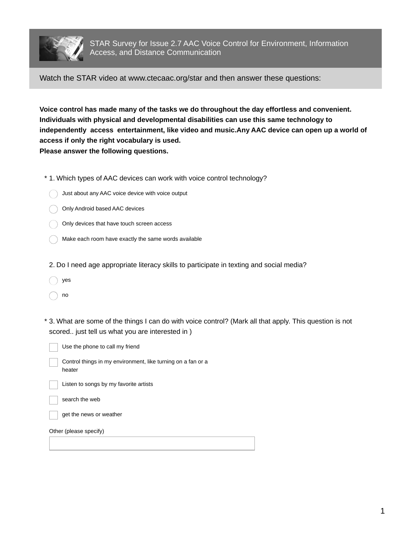

Watch the STAR video at www.ctecaac.org/star and then answer these questions:

**Voice control has made many of the tasks we do throughout the day effortless and convenient. Individuals with physical and developmental disabilities can use this same technology to independently access entertainment, like video and music.Any AAC device can open up a world of access if only the right vocabulary is used. Please answer the following questions.**

- \* 1. Which types of AAC devices can work with voice control technology?
	- Just about any AAC voice device with voice output
	- Only Android based AAC devices
	- Only devices that have touch screen access
	- Make each room have exactly the same words available
- 2. Do I need age appropriate literacy skills to participate in texting and social media?
- yes
- no
- 3. What are some of the things I can do with voice control? (Mark all that apply. This question is not \* scored.. just tell us what you are interested in )